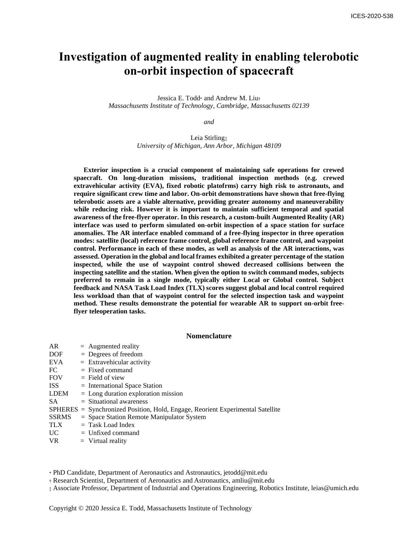# **Investigation of augmented reality in enabling telerobotic on-orbit inspection of spacecraft**

Jessica E. Todd\* and Andrew M. Liu† *Massachusetts Institute of Technology, Cambridge, Massachusetts 02139*

*and*

Leia Stirling<sub>‡</sub> *University of Michigan, Ann Arbor, Michigan 48109*

**Exterior inspection is a crucial component of maintaining safe operations for crewed spaecraft. On long-duration missions, traditional inspection methods (e.g. crewed extravehicular activity (EVA), fixed robotic platofrms) carry high risk to astronauts, and require significant crew time and labor. On-orbit demonstrations have shown that free-flying telerobotic assets are a viable alternative, providing greater autonomy and maneuverability while reducing risk. However it is important to maintain sufficient temporal and spatial awareness of the free-flyer operator. In this research, a custom-built Augmented Reality (AR) interface was used to perform simulated on-orbit inspection of a space station for surface anomalies. The AR interface enabled command of a free-flying inspector in three operation modes: satellite (local) reference frame control, global reference frame control, and waypoint control. Performance in each of these modes, as well as analysis of the AR interactions, was assessed. Operation in the global and local frames exhibited a greater percentage of the station inspected, while the use of waypoint control showed decreased collisions between the inspecting satellite and the station. When given the option to switch command modes, subjects preferred to remain in a single mode, typically either Local or Global control. Subject feedback and NASA Task Load Index (TLX) scores suggest global and local control required less workload than that of waypoint control for the selected inspection task and waypoint method. These results demonstrate the potential for wearable AR to support on-orbit freeflyer teleoperation tasks.** 

## **Nomenclature**

| AR           | $=$ Augmented reality                                                          |
|--------------|--------------------------------------------------------------------------------|
| DOF          | $=$ Degrees of freedom                                                         |
| EVA          | $=$ Extravehicular activity                                                    |
| FC           | $=$ Fixed command                                                              |
| <b>FOV</b>   | $=$ Field of view                                                              |
| ISS          | $=$ International Space Station                                                |
| <b>LDEM</b>  | $=$ Long duration exploration mission                                          |
| SA.          | $=$ Situational awareness                                                      |
|              | SPHERES = Synchronized Position, Hold, Engage, Reorient Experimental Satellite |
| <b>SSRMS</b> | $=$ Space Station Remote Manipulator System                                    |
| <b>TLX</b>   | $=$ Task Load Index                                                            |
| UC —         | $=$ Unfixed command                                                            |
| <b>VR</b>    | $=$ Virtual reality                                                            |
|              |                                                                                |

\* PhD Candidate, Department of Aeronautics and Astronautics, jetodd@mit.edu

† Research Scientist, Department of Aeronautics and Astronautics, amliu@mit.edu

‡ Associate Professor, Department of Industrial and Operations Engineering, Robotics Institute, leias@umich.edu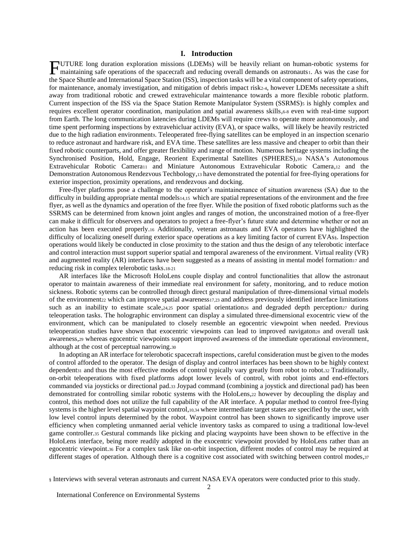## **I. Introduction**

UTURE long duration exploration missions (LDEMs) will be heavily reliant on human-robotic systems for maintaining safe operations of the spacecraft and reducing overall demands on astronauts1. As was the case for TUTURE long duration exploration missions (LDEMs) will be heavily reliant on human-robotic systems for maintaining safe operations of the spacecraft and reducing overall demands on astronauts. As was the case for the Space for maintenance, anomaly investigation, and mitigation of debris impact risk2-4, however LDEMs necessitate a shift away from traditional robotic and crewed extravehicular maintenance towards a more flexible robotic platform. Current inspection of the ISS via the Space Station Remote Manipulator System (SSRMS)<sup>5</sup> is highly complex and requires excellent operator coordination, manipulation and spatial awareness skills,6-8 even with real-time support from Earth. The long communication latencies during LDEMs will require crews to operate more autonomously, and time spent performing inspections by extravehicluar activity (EVA), or space walks, will likely be heavily restricted due to the high radiation environments. Teleoperated free-flying satellites can be employed in an inspection scenario to reduce astronaut and hardware risk, and EVA time. These satellites are less massive and cheaper to orbit than their fixed robotic counterparts, and offer greater flexibility and range of motion. Numerous heritage systems including the Synchronised Position, Hold, Engage, Reorient Experimental Satellites (SPHERES),<sup>10</sup> NASA's Autonomous Extravehicular Robotic Camera<sub>11</sub> and Miniature Autonomous Extravehicular Robotic Camera, 12 and the Demonstration Autonomous Rendezvous Techbology,<sup>13</sup> have demonstrated the potential for free-flying operations for exterior inspection, proximity operations, and rendezvous and docking.

Free-flyer platforms pose a challenge to the operator's maintainenance of situation awareness (SA) due to the difficulty in building appropriate mental models14,15 which are spatial representations of the environment and the free flyer, as well as the dynamics and operation of the free flyer. While the position of fixed robotic platforms such as the SSRMS can be determined from known joint angles and ranges of motion, the unconstrained motion of a free-flyer can make it difficult for observers and operators to project a free-flyer's future state and determine whether or not an action has been executed properly.<sup>16</sup> Additionally, veteran astronauts and EVA operators have highlighted the difficulty of localizing oneself during exterior space operations as a key limiting factor of current EVAs§. Inspection operations would likely be conducted in close proximity to the station and thus the design of any telerobotic interface and control interaction must support superior spatial and temporal awareness of the environment. Virtual reality (VR) and augmented reality (AR) interfaces have been suggested as a means of assisting in mental model formation<sub>17</sub> and reducing risk in complex telerobotic tasks.18-21

AR interfaces like the Microsoft HoloLens couple display and control functionalities that allow the astronaut operator to maintain awareness of their immediate real environment for safety, monitoring, and to reduce motion sickness. Robotic sytems can be controlled through direct gestural manipulation of three-dimensional virtual models of the environment<sup>22</sup> which can improve spatial awareness17,23 and address previously identified interface limitations such as an inability to estimate scale,24,25 poor spatial orientation26 and degraded depth perception27 during teleoperation tasks. The holographic environment can display a simulated three-dimensional exocentric view of the environment, which can be manipulated to closely resemble an egocentric viewpoint when needed. Previous teleoperation studies have shown that exocentric viewpoints can lead to improved navigaton2s and overall task awareness,<sup>29</sup> whereas egocentric viewpoints support improved awareness of the immediate operational environment, although at the cost of perceptual narrowing.<sup>30</sup>

In adopting an AR interface for telerobotic spacecraft inspections, careful consideration must be given to the modes of control afforded to the operator. The design of display and control interfaces has been shown to be highly context dependent<sup>31</sup> and thus the most effective modes of control typically vary greatly from robot to robot.<sup>32</sup> Traditionally, on-orbit teleoperations with fixed platforms adopt lower levels of control, with robot joints and end-effectors commanded via joysticks or directional pad.<sup>33</sup> Joypad command (combining a joystick and directional pad) has been demonstrated for controlling similar robotic systems with the HoloLens,<sup>22</sup> however by decoupling the display and control, this method does not utilize the full capability of the AR interface. A popular method to control free-flying systems is the higher level spatial waypoint control,10,34 where intermediate target states are specified by the user, with low level control inputs determined by the robot. Waypoint control has been shown to significantly improve user efficiency when completing unmanned aerial vehicle inventory tasks as compared to using a traditional low-level game controller.<sup>35</sup> Gestural commands like picking and placing waypoints have been shown to be effective in the HoloLens interface, being more readily adopted in the exocentric viewpoint provided by HoloLens rather than an egocentric viewpoint.<sup>36</sup> For a complex task like on-orbit inspection, different modes of control may be required at different stages of operation. Although there is a cognitive cost associated with switching between control modes,37

<sup>§</sup> Interviews with several veteran astronauts and current NASA EVA operators were conducted prior to this study.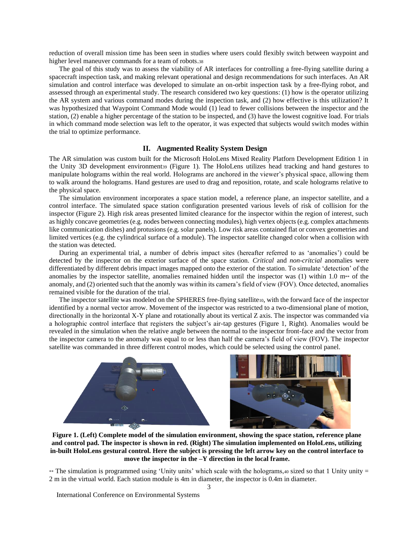reduction of overall mission time has been seen in studies where users could flexibly switch between waypoint and higher level maneuver commands for a team of robots.<sup>38</sup>

The goal of this study was to assess the viability of AR interfaces for controlling a free-flying satellite during a spacecraft inspection task, and making relevant operational and design recommendations for such interfaces. An AR simulation and control interface was developed to simulate an on-orbit inspection task by a free-flying robot, and assessed through an experimental study. The research considered two key questions: (1) how is the operator utilizing the AR system and various command modes during the inspection task, and (2) how effective is this utilization? It was hypothesized that Waypoint Command Mode would (1) lead to fewer collisions between the inspector and the station, (2) enable a higher percentage of the station to be inspected, and (3) have the lowest cognitive load. For trials in which command mode selection was left to the operator, it was expected that subjects would switch modes within the trial to optimize performance.

## **II. Augmented Reality System Design**

The AR simulation was custom built for the Microsoft HoloLens Mixed Reality Platforn Development Edition 1 in the Unity 3D development environment<sup>39</sup> (Figure 1). The HoloLens utilizes head tracking and hand gestures to manipulate holograms within the real world. Holograms are anchored in the viewer's physical space, allowing them to walk around the holograms. Hand gestures are used to drag and reposition, rotate, and scale holograms relative to the physical space.

The simulation environment incorporates a space station model, a reference plane, an inspector satellite, and a control interface. The simulated space station configuration presented various levels of risk of collision for the inspector (Figure 2). High risk areas presented limited clearance for the inspector within the region of interest, such as highly concave geometries (e.g. nodes between connecting modules), high vertex objects (e.g. complex attachments like communication dishes) and protusions (e.g. solar panels). Low risk areas contained flat or convex geometries and limited vertices (e.g. the cylindrical surface of a module). The inspector satellite changed color when a collision with the station was detected.

During an experimental trial, a number of debris impact sites (hereafter referred to as 'anomalies') could be detected by the inspector on the exterior surface of the space station. *Critical* and *non-critcial* anomalies were differentiated by different debris impact images mapped onto the exterior of the station. To simulate 'detection' of the anomalies by the inspector satellite, anomalies remained hidden until the inspector was (1) within 1.0  $m**$  of the anomaly, and (2) oriented such that the anomly was within its camera's field of view (FOV). Once detected, anomalies remained visible for the duration of the trial.

The inspector satellite was modeled on the SPHERES free-flying satellite10, with the forward face of the inspector identified by a normal vector arrow. Movement of the inspector was restricted to a two-dimensional plane of motion, directionally in the horizontal X-Y plane and rotationally about its vertical Z axis. The inspector was commanded via a holographic control interface that registers the subject's air-tap gestures (Figure 1, Right). Anomalies would be revealed in the simulation when the relative angle between the normal to the inspector front-face and the vector from the inspector camera to the anomaly was equal to or less than half the camera's field of view (FOV). The inspector satellite was commanded in three different control modes, which could be selected using the control panel.



**Figure 1. (Left) Complete model of the simulation environment, showing the space station, reference plane and control pad. The inspector is shown in red. (Right) The simulation implemented on HoloLens, utilizing in-built HoloLens gestural control. Here the subject is pressing the left arrow key on the control interface to move the inspector in the –Y direction in the local frame.**

\*\* The simulation is programmed using 'Unity units' which scale with the holograms, $40$  sized so that 1 Unity unity = 2 m in the virtual world. Each station module is 4m in diameter, the inspector is 0.4m in diameter.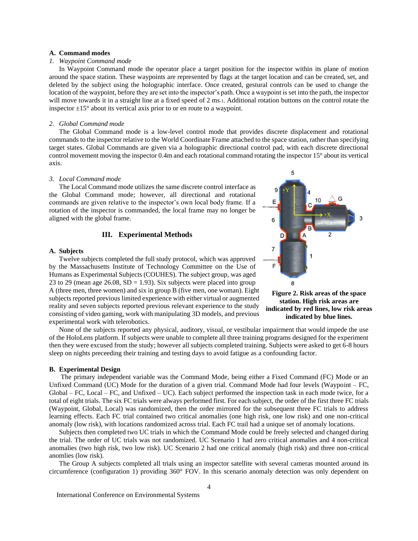#### **A. Command modes**

#### *1. Waypoint Command mode*

In Waypoint Command mode the operator place a target position for the inspector within its plane of motion around the space station. These waypoints are represented by flags at the target location and can be created, set, and deleted by the subject using the holographic interface. Once created, gestural controls can be used to change the location of the waypoint, before they are set into the inspector's path. Once a waypoint is set into the path, the inspector will move towards it in a straight line at a fixed speed of 2 ms-1. Additional rotation buttons on the control rotate the inspector  $\pm 15^{\circ}$  about its vertical axis prior to or en route to a waypoint.

## *2. Global Command mode*

The Global Command mode is a low-level control mode that provides discrete displacement and rotational commands to the inspector relative to the World Coordinate Frame attached to the space station, rather than specifying target states. Global Commands are given via a holographic directional control pad, with each discrete directional control movement moving the inspector 0.4m and each rotational command rotating the inspector 15° about its vertical axis.

#### *3. Local Command mode*

The Local Command mode utilizes the same discrete control interface as the Global Command mode; however, all directional and rotational commands are given relative to the inspector's own local body frame. If a rotation of the inspector is commanded, the local frame may no longer be aligned with the global frame.

## **III. Experimental Methods**

## **A. Subjects**

Twelve subjects completed the full study protocol, which was approved by the Massachusetts Institute of Technology Committee on the Use of Humans as Experimental Subjects (COUHES). The subject group, was aged 23 to 29 (mean age 26.08,  $SD = 1.93$ ). Six subjects were placed into group A (three men, three women) and six in group B (five men, one woman). Eight subjects reported previous limited experience with either virtual or augmented reality and seven subjects reported previous relevant experience to the study consisting of video gaming, work with manipulating 3D models, and previous experimental work with telerobotics.



F

6

D

A

5

 $+X$ 

None of the subjects reported any physical, auditory, visual, or vestibular impairment that would impede the use of the HoloLens platform. If subjects were unable to complete all three training programs designed for the experiment then they were excused from the study; however all subjects completed training. Subjects were asked to get 6-8 hours sleep on nights preceeding their training and testing days to avoid fatigue as a confounding factor.

#### **B. Experimental Design**

The primary independent variable was the Command Mode, being either a Fixed Command (FC) Mode or an Unfixed Command (UC) Mode for the duration of a given trial. Command Mode had four levels (Waypoint – FC, Global – FC, Local – FC, and Unfixed – UC). Each subject performed the inspection task in each mode twice, for a total of eight trials. The six FC trials were always performed first. For each subject, the order of the first three FC trials (Waypoint, Global, Local) was randomized, then the order mirrored for the subsequent three FC trials to address learning effects. Each FC trial contained two critical anomalies (one high risk, one low risk) and one non-critical anomaly (low risk), with locations randomized across trial. Each FC trail had a unique set of anomaly locations.

Subjects then completed two UC trials in which the Command Mode could be freely selected and changed during the trial. The order of UC trials was not randomized. UC Scenario 1 had zero critical anomalies and 4 non-critical anomalies (two high risk, two low risk). UC Scenario 2 had one critical anomaly (high risk) and three non-critical anomlies (low risk).

The Group A subjects completed all trials using an inspector satellite with several cameras mounted around its circumference (configuration 1) providing 360° FOV. In this scenario anomaly detection was only dependent on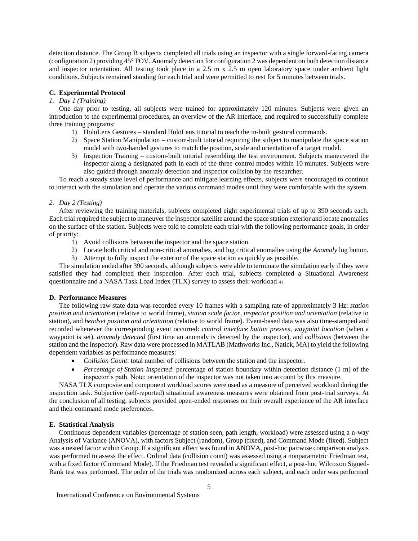detection distance. The Group B subjects completed all trials using an inspector with a single forward-facing camera (configuration 2) providing 45° FOV. Anomaly detection for configuration 2 was dependent on both detection distance and inspector orientation. All testing took place in a 2.5 m x 2.5 m open laboratory space under ambient light conditions. Subjects remained standing for each trial and were permitted to rest for 5 minutes between trials.

#### **C. Experimental Protocol**

## *1. Day 1 (Training)*

One day prior to testing, all subjects were trained for approximately 120 minutes. Subjects were given an introduction to the experimental procedures, an overview of the AR interface, and required to successfully complete three training programs:

- 1) HoloLens Gestures standard HoloLens tutorial to teach the in-built gestural commands.
- 2) Space Station Manipulation custom-built tutorial requiring the subject to manipulate the space station model with two-handed gestures to match the position, scale and orientation of a target model.
- 3) Inspection Training custom-built tutorial resembling the test environment. Subjects maneuvered the inspector along a designated path in each of the three control modes within 10 minutes. Subjects were also guided through anomaly detection and inspector collision by the researcher.

To reach a steady state level of performance and mitigate learning effects, subjects were encouraged to continue to interact with the simulation and operate the various command modes until they were comfortable with the system.

### *2. Day 2 (Testing)*

After reviewing the training materials, subjects completed eight experimental trials of up to 390 seconds each. Each trial required the subject to maneuver the inspector satellite around the space station exterior and locate anomalies on the surface of the station. Subjects were told to complete each trial with the following performance goals, in order of priority:

- 1) Avoid collisions between the inspector and the space station.
- 2) Locate both critical and non-critical anomalies, and log critical anomalies using the *Anomaly* log button.
- 3) Attempt to fully inspect the exterior of the space station as quickly as possible.

The simulation ended after 390 seconds, although subjects were able to terminate the simulation early if they were satisfied they had completed their inspection. After each trial, subjects completed a Situational Awareness questionnaire and a NASA Task Load Index (TLX) survey to assess their workload.<sup>41</sup>

#### **D. Performance Measures**

The following raw state data was recorded every 10 frames with a sampling rate of approximately 3 Hz: *station position and orientation* (relative to world frame)*, station scale factor, inspector position and orientation* (relative to station), and *headset position and orientation* (relative to world frame). Event-based data was also time-stamped and recorded whenever the corresponding event occurred: *control interface button presses*, *waypoint location* (when a waypoint is set), *anomaly detected* (first time an anomaly is detected by the inspector), and *collisions* (between the station and the inspector). Raw data were processed in MATLAB (Mathworks Inc., Natick, MA) to yield the following dependent variables as performance measures:

- *Collision Count*: total number of collisions between the station and the inspector.
- *Percentage of Station Inspected*: percentage of station boundary within detection distance (1 m) of the inspector's path. Note: orientation of the inspector was not taken into account by this measure.

NASA TLX composite and component workload scores were used as a measure of perceived workload during the inspection task. Subjective (self-reported) situational awareness measures were obtained from post-trial surveys. At the conclusion of all testing, subjects provided open-ended responses on their overall experience of the AR interface and their command mode preferences.

#### **E. Statistical Analysis**

Continuous dependent variables (percentage of station seen, path length, workload) were assessed using a n-way Analysis of Variance (ANOVA), with factors Subject (random), Group (fixed), and Command Mode (fixed). Subject was a nested factor within Group. If a significant effect was found in ANOVA, post-hoc pairwise comparison analysis was performed to assess the effect. Ordinal data (collision count) was assessed using a nonparametric Friedman test, with a fixed factor (Command Mode). If the Friedman test revealed a significant effect, a post-hoc Wilcoxon Signed-Rank test was performed. The order of the trials was randomized across each subject, and each order was performed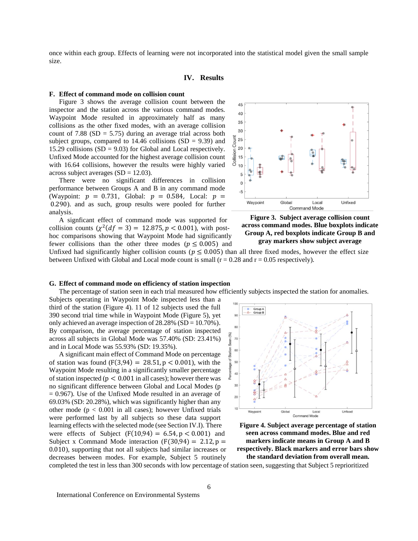once within each group. Effects of learning were not incorporated into the statistical model given the small sample size.

#### **IV. Results**

#### **F. Effect of command mode on collision count**

Figure 3 shows the average collision count between the inspector and the station across the various command modes. Waypoint Mode resulted in approximately half as many collisions as the other fixed modes, with an average collision count of 7.88 ( $SD = 5.75$ ) during an average trial across both subject groups, compared to  $14.46$  collisions (SD = 9.39) and 15.29 collisions  $(SD = 9.03)$  for Global and Local respectively. Unfixed Mode accounted for the highest average collision count with 16.64 collisions, however the results were highly varied across subject averages  $(SD = 12.03)$ .

There were no significant differences in collision performance between Groups A and B in any command mode (Waypoint:  $p = 0.731$ , Global:  $p = 0.584$ , Local:  $p =$ 0.290). and as such, group results were pooled for further analysis.

A signficant effect of command mode was supported for collision counts  $(\chi^2(df = 3) = 12.875, p < 0.001)$ , with posthoc comparisons showing that Waypoint Mode had significantly fewer collisions than the other three modes ( $p \le 0.005$ ) and





Unfixed had significantly higher collision counts ( $p \le 0.005$ ) than all three fixed modes, however the effect size between Unfixed with Global and Local mode count is small  $(r = 0.28$  and  $r = 0.05$  respectively).

#### **G. Effect of command mode on efficiency of station inspection**

The percentage of station seen in each trial measured how efficiently subjects inspected the station for anomalies.

Subjects operating in Waypoint Mode inspected less than a third of the station (Figure 4). 11 of 12 subjects used the full 390 second trial time while in Waypoint Mode (Figure 5), yet only achieved an average inspection of 28.28% (SD = 10.70%). By comparison, the average percentage of station inspected across all subjects in Global Mode was 57.40% (SD: 23.41%) and in Local Mode was 55.93% (SD: 19.35%).

A significant main effect of Command Mode on percentage of station was found  $(F(3,94) = 28.51, p < 0.001)$ , with the Waypoint Mode resulting in a significantly smaller percentage of station inspected ( $p < 0.001$  in all cases); however there was no significant difference between Global and Local Modes (p  $= 0.967$ ). Use of the Unfixed Mode resulted in an average of 69.03% (SD: 20.28%), which was significantly higher than any other mode ( $p < 0.001$  in all cases); however Unfixed trials were performed last by all subjects so these data support learning effects with the selected mode (see Section IV.I). There were effects of Subject  $(F(10,94) = 6.54, p < 0.001)$  and Subject x Command Mode interaction  $(F(30.94) = 2.12, p =$ 0.010), supporting that not all subjects had similar increases or decreases between modes. For example, Subject 5 routinely





**the standard deviation from overall mean.**

completed the test in less than 300 seconds with low percentage of station seen, suggesting that Subject 5 reprioritized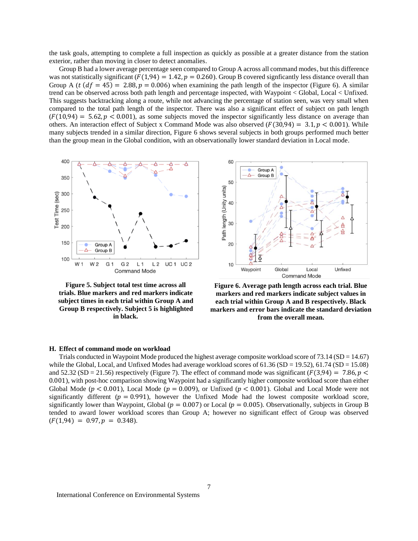the task goals, attempting to complete a full inspection as quickly as possible at a greater distance from the station exterior, rather than moving in closer to detect anomalies.

Group B had a lower average percentage seen compared to Group A across all command modes, butthis difference was not statistically significant ( $F(1,94) = 1.42$ ,  $p = 0.260$ ). Group B covered signficantly less distance overall than Group A ( $t$  ( $df = 45$ ) = 2.88,  $p = 0.006$ ) when examining the path length of the inspector (Figure 6). A similar trend can be observed across both path length and percentage inspected, with Waypoint < Global, Local < Unfixed. This suggests backtracking along a route, while not advancing the percentage of station seen, was very small when compared to the total path length of the inspector. There was also a significant effect of subject on path length  $(F(10,94) = 5.62, p < 0.001)$ , as some subjects moved the inspector significantly less distance on average than others. An interaction effect of Subject x Command Mode was also observed ( $F(30,94) = 3.1, p < 0.001$ ). While many subjects trended in a similar direction, Figure 6 shows several subjects in both groups performed much better than the group mean in the Global condition, with an observationally lower standard deviation in Local mode.



**Figure 5. Subject total test time across all trials. Blue markers and red markers indicate subject times in each trial within Group A and Group B respectively. Subject 5 is highlighted in black.**



**Figure 6. Average path length across each trial. Blue markers and red markers indicate subject values in each trial within Group A and B respectively. Black markers and error bars indicate the standard deviation from the overall mean.**

#### **H. Effect of command mode on workload**

Trials conducted in Waypoint Mode produced the highest average composite workload score of 73.14 ( $SD = 14.67$ ) while the Global, Local, and Unfixed Modes had average workload scores of  $61.36$  (SD = 19.52),  $61.74$  (SD = 15.08) and 52.32 (SD = 21.56) respectively (Figure 7). The effect of command mode was significant ( $F(3,94) = 7.86$ ,  $p <$ 0.001), with post-hoc comparison showing Waypoint had a significantly higher composite workload score than either Global Mode ( $p < 0.001$ ), Local Mode ( $p = 0.009$ ), or Unfixed ( $p < 0.001$ ). Global and Local Mode were not significantly different ( $p = 0.991$ ), however the Unfixed Mode had the lowest composite workload score, significantly lower than Waypoint, Global ( $p = 0.007$ ) or Local ( $p = 0.005$ ). Observationally, subjects in Group B tended to award lower workload scores than Group A; however no significant effect of Group was observed  $(F(1,94) = 0.97, p = 0.348).$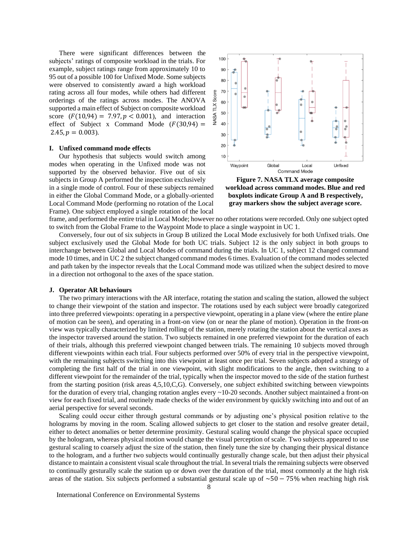There were significant differences between the subjects' ratings of composite workload in the trials. For example, subject ratings range from approximately 10 to 95 out of a possible 100 for Unfixed Mode. Some subjects were observed to consistently award a high workload rating across all four modes, while others had different orderings of the ratings across modes. The ANOVA supported a main effect of Subject on composite workload score  $(F(10, 94) = 7.97, p < 0.001)$ , and interaction effect of Subject x Command Mode  $(F(30, 94) =$  $2.45, p = 0.003$ .

#### **I. Unfixed command mode effects**

Our hypothesis that subjects would switch among modes when operating in the Unfixed mode was not supported by the observed behavior. Five out of six subjects in Group A performed the inspection exclusively in a single mode of control. Four of these subjects remained in either the Global Command Mode, or a globally-oriented Local Command Mode (performing no rotation of the Local Frame). One subject employed a single rotation of the local



**Figure 7. NASA TLX average composite workload across command modes. Blue and red boxplots indicate Group A and B respectively, gray markers show the subject average score.**

frame, and performed the entire trial in Local Mode; however no other rotations were recorded. Only one subject opted to switch from the Global Frame to the Waypoint Mode to place a single waypoint in UC 1.

Conversely, four out of six subjects in Group B utilized the Local Mode exclusively for both Unfixed trials. One subject exclusively used the Global Mode for both UC trials. Subject 12 is the only subject in both groups to interchange between Global and Local Modes of command during the trials. In UC 1, subject 12 changed command mode 10 times, and in UC 2 the subject changed command modes 6 times. Evaluation of the command modes selected and path taken by the inspector reveals that the Local Command mode was utilized when the subject desired to move in a direction not orthogonal to the axes of the space station.

#### **J. Operator AR behaviours**

The two primary interactions with the AR interface, rotating the station and scaling the station, allowed the subject to change their viewpoint of the station and inspector. The rotations used by each subject were broadly categorized into three preferred viewpoints: operating in a perspective viewpoint, operating in a plane view (where the entire plane of motion can be seen), and operating in a front-on view (on or near the plane of motion). Operation in the front-on view was typically characterized by limited rolling of the station, merely rotating the station about the vertical axes as the inspector traversed around the station. Two subjects remained in one preferred viewpoint for the duration of each of their trials, although this preferred viewpoint changed between trials. The remaining 10 subjects moved through different viewpoints within each trial. Four subjects performed over 50% of every trial in the perspective viewpoint, with the remaining subjects switching into this viewpoint at least once per trial. Seven subjects adopted a strategy of completing the first half of the trial in one viewpoint, with slight modifications to the angle, then switching to a different viewpoint for the remainder of the trial, typically when the inspector moved to the side of the station furthest from the starting position (risk areas 4,5,10,C,G). Conversely, one subject exhibited switching between viewpoints for the duration of every trial, changing rotation angles every ~10-20 seconds. Another subject maintained a front-on view for each fixed trial, and routinely made checks of the wider environment by quickly switching into and out of an aerial perspective for several seconds.

Scaling could occur either through gestural commands or by adjusting one's physical position relative to the holograms by moving in the room. Scaling allowed subjects to get closer to the station and resolve greater detail, either to detect anomalies or better determine proximity. Gestural scaling would change the physical space occupied by the hologram, whereas physical motion would change the visual perception of scale. Two subjects appeared to use gestural scaling to coarsely adjust the size of the station, then finely tune the size by changing their physical distance to the hologram, and a further two subjects would continually gesturally change scale, but then adjust their physical distance to maintain a consistent visual scale throughout the trial. In several trials the remaining subjects were observed to continually gesturally scale the station up or down over the duration of the trial, most commonly at the high risk areas of the station. Six subjects performed a substantial gestural scale up of  $\sim$ 50 − 75% when reaching high risk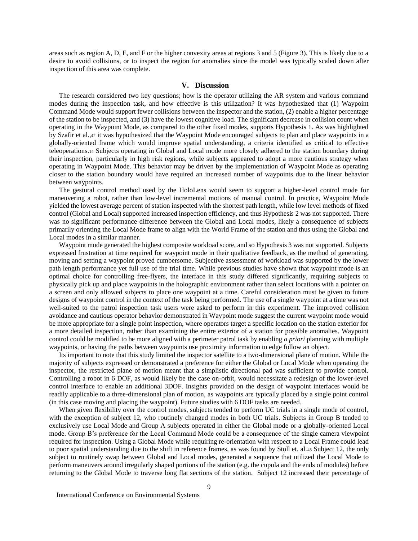areas such as region A, D, E, and F or the higher convexity areas at regions 3 and 5 (Figure 3). This is likely due to a desire to avoid collisions, or to inspect the region for anomalies since the model was typically scaled down after inspection of this area was complete.

### **V. Discussion**

The research considered two key questions; how is the operator utilizing the AR system and various command modes during the inspection task, and how effective is this utilization? It was hypothesized that (1) Waypoint Command Mode would support fewer collisions between the inspector and the station, (2) enable a higher percentage of the station to be inspected, and (3) have the lowest cognitive load. The significant decrease in collision count when operating in the Waypoint Mode, as compared to the other fixed modes, supports Hypothesis 1. As was highlighted by Szafir et al.,<sup>42</sup> it was hypothesized that the Waypoint Mode encouraged subjects to plan and place waypoints in a globally-oriented frame which would improve spatial understanding, a criteria identified as critical to effective teleoperations.<sup>14</sup> Subjects operating in Global and Local mode more closely adhered to the station boundary during their inspection, particularly in high risk regions, while subjects appeared to adopt a more cautious strategy when operating in Waypoint Mode. This behavior may be driven by the implementation of Waypoint Mode as operating closer to the station boundary would have required an increased number of waypoints due to the linear behavior between waypoints.

The gestural control method used by the HoloLens would seem to support a higher-level control mode for maneuvering a robot, rather than low-level incremental motions of manual control. In practice, Waypoint Mode yielded the lowest average percent of station inspected with the shortest path length, while low level methods of fixed control (Global and Local) supported increased inspection efficiency, and thus Hypothesis 2 was not supported. There was no significant performance difference between the Global and Local modes, likely a consequence of subjects primarily orienting the Local Mode frame to align with the World Frame of the station and thus using the Global and Local modes in a similar manner.

Waypoint mode generated the highest composite workload score, and so Hypothesis 3 was not supported. Subjects expressed frustration at time required for waypoint mode in their qualitative feedback, as the method of generating, moving and setting a waypoint proved cumbersome. Subjective assessment of workload was supported by the lower path length performance yet full use of the trial time. While previous studies have shown that waypoint mode is an optimal choice for controlling free-flyers, the interface in this study differed significantly, requiring subjects to physically pick up and place waypoints in the holographic environment rather than select locations with a pointer on a screen and only allowed subjects to place one waypoint at a time. Careful consideration must be given to future designs of waypoint control in the context of the task being performed. The use of a single waypoint at a time was not well-suited to the patrol inspection task users were asked to perform in this experiment. The improved collision avoidance and cautious operator behavior demonstrated in Waypoint mode suggest the current waypoint mode would be more appropriate for a single point inspection, where operators target a specific location on the station exterior for a more detailed inspection, rather than examining the entire exterior of a station for possible anomalies. Waypoint control could be modified to be more aligned with a perimeter patrol task by enabling *a priori* planning with multiple waypoints, or having the paths between waypoints use proximity information to edge follow an object.

Its important to note that this study limited the inspector satellite to a two-dimensional plane of motion. While the majority of subjects expressed or demonstrated a preference for either the Global or Local Mode when operating the inspector, the restricted plane of motion meant that a simplistic directional pad was sufficient to provide control. Controlling a robot in 6 DOF, as would likely be the case on-orbit, would necessitate a redesign of the lower-level control interface to enable an additional 3DOF. Insights provided on the design of waypoint interfaces would be readily applicable to a three-dimensional plan of motion, as waypoints are typically placed by a single point control (in this case moving and placing the waypoint). Future studies with 6 DOF tasks are needed.

When given flexibility over the control modes, subjects tended to perform UC trials in a single mode of control, with the exception of subject 12, who routinely changed modes in both UC trials. Subjects in Group B tended to exclusively use Local Mode and Group A subjects operated in either the Global mode or a globally-oriented Local mode. Group B's preference for the Local Command Mode could be a consequence of the single camera viewpoint required for inspection. Using a Global Mode while requiring re-orientation with respect to a Local Frame could lead to poor spatial understanding due to the shift in reference frames, as was found by Stoll et. al.<sup>43</sup> Subject 12, the only subject to routinely swap between Global and Local modes, generated a sequence that utilized the Local Mode to perform maneuvers around irregularly shaped portions of the station (e.g. the cupola and the ends of modules) before returning to the Global Mode to traverse long flat sections of the station. Subject 12 increased their percentage of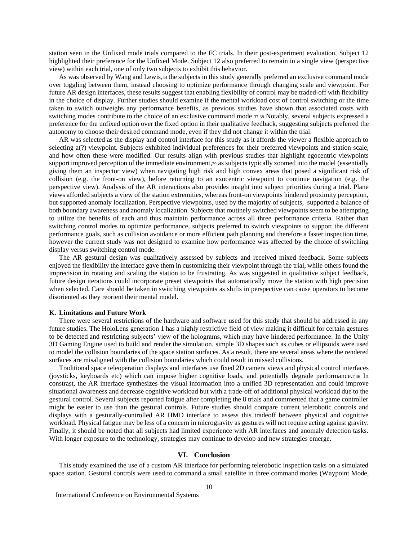station seen in the Unfixed mode trials compared to the FC trials. In their post-experiment evaluation, Subject 12 highlighted their preference for the Unfixed Mode. Subject 12 also preferred to remain in a single view (perspective view) within each trial, one of only two subjects to exhibit this behavior.

As was observed by Wang and Lewis,<sup>44</sup> the subjects in this study generally preferred an exclusive command mode over toggling between them, instead choosing to optimize performance through changing scale and viewpoint. For future AR design interfaces, these results suggest that enabling flexibility of control may be traded-off with flexibility in the choice of display. Further studies should examine if the mental workload cost of control switching or the time taken to switch outweighs any performance benefits, as previous studies have shown that associated costs with switching modes contribute to the choice of an exclusive command mode.37,38 Notably, several subjects expressed a preference for the unfixed option over the fixed option in their qualitative feedback, suggesting subjects preferred the autonomy to choose their desired command mode, even if they did not change it within the trial.

AR was selected as the display and control interface for this study as it affords the viewer a flexible approach to selecting a(?) viewpoint. Subjects exhibited individual preferences for their preferred viewpoints and station scale, and how often these were modified. Our results align with previous studies that highlight egocentric viewpoints support improved perception of the immediate environment, 29 as subjects typically zoomed into the model (essentially giving them an inspector view) when navigating high risk and high convex areas that posed a significant risk of collision (e.g. the front-on view), before returning to an exocentric viewpoint to continue navigation (e.g. the perspective view). Analysis of the AR interactions also provides insight into subject priorities during a trial. Plane views afforded subjects a view of the station extremities, whereas front-on viewpoints hindered proximity perception, but supported anomaly localization. Perspective viewpoints, used by the majority of subjects, supported a balance of both boundary awareness and anomaly localization. Subjects that routinely switched viewpoints seem to be attempting to utilize the benefits of each and thus maintain performance across all three performance criteria. Rather than switching control modes to optimize performance, subjects preferred to switch viewpoints to support the different performance goals, such as collision avoidance or more efficient path planning and therefore a faster inspection time, however the current study was not designed to examine how performance was affected by the choice of switching display versus switching control mode.

The AR gestural design was qualitatively assessed by subjects and received mixed feedback. Some subjects enjoyed the flexibility the interface gave them in customizing their viewpoint through the trial, while others found the imprecision in rotating and scaling the station to be frustrating. As was suggested in qualitative subject feedback, future design iterations could incorporate preset viewpoints that automatically move the station with high precision when selected. Care should be taken in switching viewpoints as shifts in perspective can cause operators to become disoriented as they reorient their mental model.

#### **K. Limitations and Future Work**

There were several restrictions of the hardware and software used for this study that should be addressed in any future studies. The HoloLens generation 1 has a highly restrictive field of view making it difficult for certain gestures to be detected and restricting subjects' view of the holograms, which may have hindered performance. In the Unity 3D Gaming Engine used to build and render the simulation, simple 3D shapes such as cubes or ellipsoids were used to model the collision boundaries of the space station surfaces. As a result, there are several areas where the rendered surfaces are misaligned with the collision boundaries which could result in missed collisions.

Traditional space teleoperation displays and interfaces use fixed 2D camera views and physical control interfaces (joysticks, keyboards etc) which can impose higher cognitive loads, and potentially degrade performance.7,46 In constrast, the AR interface synthesizes the visual information into a unified 3D representation and could improve situational awareness and decrease cognitive workload but with a trade-off of additional physical workload due to the gestural control. Several subjects reported fatigue after completing the 8 trials and commented that a game controller might be easier to use than the gestural controls. Future studies should compare current telerobotic controls and displays with a gesturally-controlled AR HMD interface to assess this tradeoff between physical and cognitive workload. Physical fatigue may be less of a concern in microgravity as gestures will not require acting against gravity. Finally, it should be noted that all subjects had limited experience with AR interfaces and anomaly detection tasks. With longer exposure to the technology, strategies may continue to develop and new strategies emerge.

## **VI. Conclusion**

This study examined the use of a custom AR interface for performing telerobotic inspection tasks on a simulated space station. Gestural controls were used to command a small satellite in three command modes (Waypoint Mode,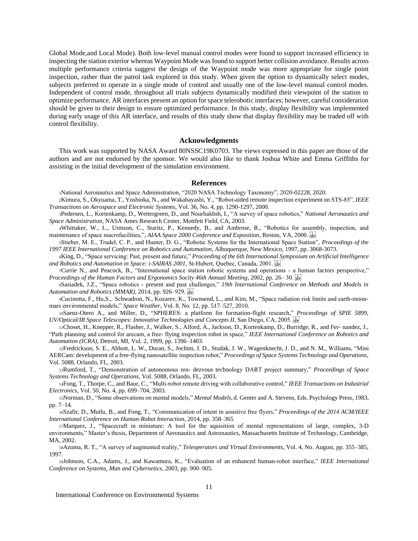Global Mode,and Local Mode). Both low-level manual control modes were found to support increased efficiency in inspecting the station exterior whereas Waypoint Mode was found to support better collision avoidance. Results across multiple performance criteria suggest the design of the Waypoint mode was more appropriate for single point inspection, rather than the patrol task explored in this study. When given the option to dynamically select modes, subjects preferred to operate in a single mode of control and usually one of the low-level manual control modes. Independent of control mode, throughout all trials subjects dynamically modified their viewpoint of the station to optimize performance. AR interfaces present an option for space telerobotic interfaces; however, careful consideration should be given to their design to ensure optimized performance. In this study, display flexibility was implemented during early usage of this AR interface, and results of this study show that display flexibility may be traded off with control flexibility.

#### **Acknowledgments**

This work was supported by NASA Award 80NSSC19K0703. The views expressed in this paper are those of the authors and are not endorsed by the sponsor. We would also like to thank Joshua White and Emma Griffiths for assisting in the initial development of the simulation environment.

#### **References**

<sup>1</sup>National Aeronautics and Space Administration, "2020 NASA Technology Taxonomy", 2020-02228, 2020.

- <sup>2</sup>Kimura, S., Okyuama, T., Yoshioka, N., and Wakabayashi, Y., "Robot-aided remote inspection experiment on STS-85", *IEEE Transactions on Aerospace and Electronic Systems*, Vol. 36, No. 4, pp. 1290-1297, 2000.
- <sup>3</sup>Pedersen, L., Kortenkamp, D., Wettergreen, D., and Nourbakhsh, I., "A survey of space robotics," *National Aeronautics and Space Administration*, NASA Ames Research Center, Mottfett Field, CA, 2003.
- <sup>4</sup>Whittaker, W., L., Urmson, C., Staritz, P., Kennedy, B., and Ambrose, R., "Robotics for assembly, inspection, and maintenance of space macrofacilities,", *AIAA Space 2000 Conference and Exposition*, Reston, VA, 2000.
- <sup>5</sup>Stieber, M. E., Trudel, C. P., and Hunter, D. G., "Robotic Systems for the International Space Station", *Proceedings of the 1997 IEEE International Conference on Robotics and Automation*, Albuquerque, New Mexico, 1997, pp. 3068-3073.
- <sup>6</sup>King, D., "Space servicing: Past, present and future," *Proceeding of the 6th International Symposium on Artificial Intelligence and Robotics and Automation in Space: i-SAIRAS 2001*, St-Hubert, Quebec, Canada, 2001.
- <sup>7</sup>Currie N., and Peacock, B., "International space station robotic systems and operations a human factors perspective," *Proceedings of the Human Factors and Ergonomics Socity 46th Annual Meeting*, 2002, pp. 26–30.
- <sup>8</sup>Sasiadek, J.Z., "Space robotics present and past challenges," *19th International Conference on Methods and Models in Automation and Robotics (MMAR)*, 2014, pp. 926–929.

9Cucinotta, F., Hu,S., Schwadron, N., Kozarev, K., Townsend, L., and Kim, M., "Space radiation risk limits and earth-moonmars environmental models," *Space Weather*, Vol. 8, No. 12, pp. 517–527, 2010.

<sup>10</sup>Saenz-Otero A., and Miller, D., "SPHERES: a platform for formation-flight research," *Proceedings of SPIE 5899, UV/Optical/IR Space Telescopes: Innovative Technologies and Concepts II*, San Diego, CA, 2005.

<sup>11</sup>Choset, H., Knepper, R., Flasher, J., Walker, S., Alford, A., Jackson, D., Kortenkamp, D., Burridge, R., and Fer- nandez, J., "Path planning and control for arecam, a free- flying inspection robot in space," *IEEE International Conference on Robotics and Automation (ICRA),* Detroit, MI, Vol. 2, 1999, pp. 1396–1403.

<sup>12</sup>Fredrickson, S. E., Abbott, L. W., Duran, S., Jochim, J. D., Studak, J. W., Wagenknecht, J. D., and N. M., Williams, "Mini AERCam: development of a free-flying nanosatellite inspection robot," *Proceedings of Space Systems Technology and Operations*, Vol. 5088, Orlando, FL, 2003.

<sup>13</sup>Rumford, T., "Demonstration of autonomous ren- dezvous technology DART project summary," *Proceedings of Space Systems Technology and Operations*, Vol. 5088, Orlando, FL, 2003.

<sup>14</sup>Fong, T., Thorpe, C., and Baur, C., "Multi-robot remote driving with collaborative control," *IEEE Transactions on Industrial Electronics*, Vol. 50, No. 4, pp. 699–704, 2003.

<sup>15</sup>Norman, D., "Some observations on mental models," *Mental Models*, d. Genter and A. Stevens, Eds. Psychology Press, 1983, pp. 7–14.

<sup>16</sup>Szafir, D., Mutlu, B., and Fong, T., "Communication of intent in assistive free flyers," *Proceedings of the 2014 ACM/IEEE International Conference on Human-Robot Interaction*, 2014, pp. 358–365

<sup>17</sup>Marquez, J., "Spacecraft in miniature: A tool for the aquisition of mental representations of large, complex, 3-D environments," Master's thesis, Department of Aeronautics and Astronautics, Massachusetts Institute of Technology, Cambridge, MA, 2002.

<sup>18</sup>Azuma, R. T., "A survey of augmented reality," *Teleoperators and Virtual Environments*, Vol. 4, No. August, pp. 355–385, 1997.

<sup>19</sup>Johnson, C.A., Adams, J., and Kawamura, K., "Evaluation of an enhanced human-robot interface," *IEEE International Conference on Systems, Man and Cybernetics*, 2003, pp. 900–905.